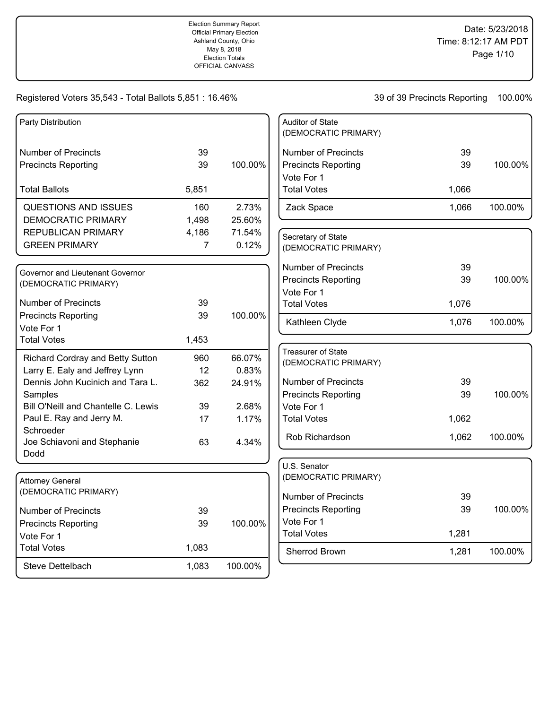| Party Distribution                              |                |         | Auditor of State           |       |         |
|-------------------------------------------------|----------------|---------|----------------------------|-------|---------|
|                                                 |                |         | (DEMOCRATIC PRIMARY)       |       |         |
| <b>Number of Precincts</b>                      | 39             |         | <b>Number of Precincts</b> | 39    |         |
| <b>Precincts Reporting</b>                      | 39             | 100.00% | <b>Precincts Reporting</b> | 39    | 100.00% |
|                                                 |                |         | Vote For 1                 |       |         |
| <b>Total Ballots</b>                            | 5,851          |         | <b>Total Votes</b>         | 1,066 |         |
| QUESTIONS AND ISSUES                            | 160            | 2.73%   | Zack Space                 | 1,066 | 100.00% |
| <b>DEMOCRATIC PRIMARY</b>                       | 1,498          | 25.60%  |                            |       |         |
| <b>REPUBLICAN PRIMARY</b>                       | 4,186          | 71.54%  | Secretary of State         |       |         |
| <b>GREEN PRIMARY</b>                            | $\overline{7}$ | 0.12%   | (DEMOCRATIC PRIMARY)       |       |         |
|                                                 |                |         | <b>Number of Precincts</b> | 39    |         |
| Governor and Lieutenant Governor                |                |         | <b>Precincts Reporting</b> | 39    | 100.00% |
| (DEMOCRATIC PRIMARY)                            |                |         | Vote For 1                 |       |         |
| <b>Number of Precincts</b>                      | 39             |         | <b>Total Votes</b>         | 1,076 |         |
| <b>Precincts Reporting</b>                      | 39             | 100.00% |                            |       |         |
| Vote For 1                                      |                |         | Kathleen Clyde             | 1,076 | 100.00% |
| <b>Total Votes</b>                              | 1,453          |         |                            |       |         |
| Richard Cordray and Betty Sutton                | 960            | 66.07%  | <b>Treasurer of State</b>  |       |         |
| Larry E. Ealy and Jeffrey Lynn                  | 12             | 0.83%   | (DEMOCRATIC PRIMARY)       |       |         |
| Dennis John Kucinich and Tara L.                | 362            | 24.91%  | <b>Number of Precincts</b> | 39    |         |
| Samples                                         |                |         | <b>Precincts Reporting</b> | 39    | 100.00% |
| Bill O'Neill and Chantelle C. Lewis             | 39             | 2.68%   | Vote For 1                 |       |         |
| Paul E. Ray and Jerry M.                        | 17             | 1.17%   | <b>Total Votes</b>         | 1,062 |         |
| Schroeder                                       |                |         | Rob Richardson             | 1,062 | 100.00% |
| Joe Schiavoni and Stephanie                     | 63             | 4.34%   |                            |       |         |
| Dodd                                            |                |         | U.S. Senator               |       |         |
|                                                 |                |         | (DEMOCRATIC PRIMARY)       |       |         |
| <b>Attorney General</b><br>(DEMOCRATIC PRIMARY) |                |         |                            |       |         |
|                                                 |                |         | <b>Number of Precincts</b> | 39    |         |
| <b>Number of Precincts</b>                      | 39             |         | <b>Precincts Reporting</b> | 39    | 100.00% |
| <b>Precincts Reporting</b>                      | 39             | 100.00% | Vote For 1                 |       |         |
| Vote For 1                                      |                |         | <b>Total Votes</b>         | 1,281 |         |
| <b>Total Votes</b>                              | 1,083          |         | Sherrod Brown              | 1,281 | 100.00% |
| Steve Dettelbach                                | 1,083          | 100.00% |                            |       |         |
|                                                 |                |         |                            |       |         |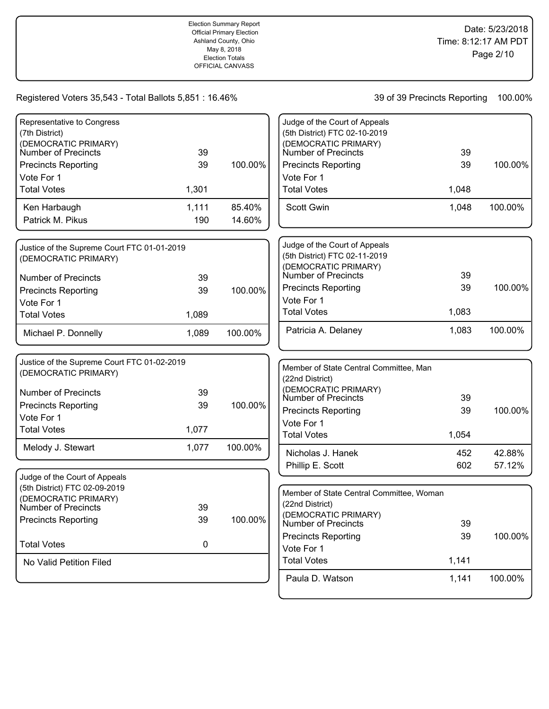| Representative to Congress<br>(7th District) |          |         | Judge of the Court of Appeals<br>(5th District) FTC 02-10-2019 |       |         |
|----------------------------------------------|----------|---------|----------------------------------------------------------------|-------|---------|
| (DEMOCRATIC PRIMARY)                         |          |         | (DEMOCRATIC PRIMARY)                                           |       |         |
| Number of Precincts                          | 39       |         | Number of Precincts                                            | 39    |         |
| <b>Precincts Reporting</b>                   | 39       | 100.00% | <b>Precincts Reporting</b>                                     | 39    | 100.00% |
| Vote For 1                                   |          |         | Vote For 1                                                     |       |         |
| <b>Total Votes</b>                           | 1,301    |         | <b>Total Votes</b>                                             | 1,048 |         |
| Ken Harbaugh                                 | 1,111    | 85.40%  | Scott Gwin                                                     | 1,048 | 100.00% |
| Patrick M. Pikus                             | 190      | 14.60%  |                                                                |       |         |
| Justice of the Supreme Court FTC 01-01-2019  |          |         | Judge of the Court of Appeals                                  |       |         |
| (DEMOCRATIC PRIMARY)                         |          |         | (5th District) FTC 02-11-2019                                  |       |         |
|                                              |          |         | (DEMOCRATIC PRIMARY)<br>Number of Precincts                    | 39    |         |
| <b>Number of Precincts</b>                   | 39<br>39 | 100.00% | <b>Precincts Reporting</b>                                     | 39    | 100.00% |
| <b>Precincts Reporting</b><br>Vote For 1     |          |         | Vote For 1                                                     |       |         |
| <b>Total Votes</b>                           | 1,089    |         | <b>Total Votes</b>                                             | 1,083 |         |
|                                              |          |         | Patricia A. Delaney                                            | 1,083 | 100.00% |
| Michael P. Donnelly                          | 1,089    | 100.00% |                                                                |       |         |
| Justice of the Supreme Court FTC 01-02-2019  |          |         |                                                                |       |         |
| (DEMOCRATIC PRIMARY)                         |          |         | Member of State Central Committee, Man<br>(22nd District)      |       |         |
|                                              |          |         | (DEMOCRATIC PRIMARY)                                           |       |         |
| <b>Number of Precincts</b>                   | 39       |         | Number of Precincts                                            | 39    |         |
| <b>Precincts Reporting</b>                   | 39       | 100.00% | <b>Precincts Reporting</b>                                     | 39    | 100.00% |
| Vote For 1<br><b>Total Votes</b>             | 1,077    |         | Vote For 1                                                     |       |         |
|                                              |          |         | <b>Total Votes</b>                                             | 1,054 |         |
| Melody J. Stewart                            | 1,077    | 100.00% | Nicholas J. Hanek                                              | 452   | 42.88%  |
|                                              |          |         | Phillip E. Scott                                               | 602   | 57.12%  |
| Judge of the Court of Appeals                |          |         |                                                                |       |         |
| (5th District) FTC 02-09-2019                |          |         | Member of State Central Committee, Woman                       |       |         |
| (DEMOCRATIC PRIMARY)<br>Number of Precincts  | 39       |         | (22nd District)                                                |       |         |
| <b>Precincts Reporting</b>                   | 39       | 100.00% | (DEMOCRATIC PRIMARY)                                           |       |         |
|                                              |          |         | Number of Precincts                                            | 39    |         |
| <b>Total Votes</b>                           | 0        |         | <b>Precincts Reporting</b><br>Vote For 1                       | 39    | 100.00% |
| No Valid Petition Filed                      |          |         | <b>Total Votes</b>                                             | 1,141 |         |
|                                              |          |         |                                                                |       |         |
|                                              |          |         | Paula D. Watson                                                | 1,141 | 100.00% |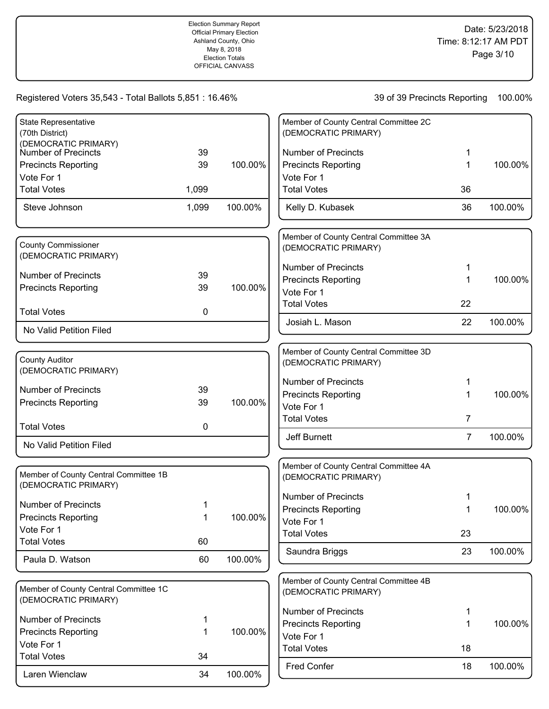| <b>State Representative</b>                                   |       |         | Member of County Central Committee 2C                         |                |         |
|---------------------------------------------------------------|-------|---------|---------------------------------------------------------------|----------------|---------|
| (70th District)                                               |       |         | (DEMOCRATIC PRIMARY)                                          |                |         |
| (DEMOCRATIC PRIMARY)<br>Number of Precincts                   | 39    |         | <b>Number of Precincts</b>                                    |                |         |
| <b>Precincts Reporting</b>                                    | 39    | 100.00% | <b>Precincts Reporting</b>                                    | 1              | 100.00% |
| Vote For 1                                                    |       |         | Vote For 1                                                    |                |         |
| <b>Total Votes</b>                                            | 1,099 |         | <b>Total Votes</b>                                            | 36             |         |
| Steve Johnson                                                 | 1,099 | 100.00% | Kelly D. Kubasek                                              | 36             | 100.00% |
| <b>County Commissioner</b>                                    |       |         | Member of County Central Committee 3A<br>(DEMOCRATIC PRIMARY) |                |         |
| (DEMOCRATIC PRIMARY)                                          |       |         |                                                               |                |         |
| <b>Number of Precincts</b>                                    | 39    |         | <b>Number of Precincts</b>                                    | 1.             |         |
| <b>Precincts Reporting</b>                                    | 39    | 100.00% | <b>Precincts Reporting</b><br>Vote For 1                      | 1              | 100.00% |
|                                                               |       |         | <b>Total Votes</b>                                            | 22             |         |
| <b>Total Votes</b>                                            | 0     |         |                                                               |                |         |
| No Valid Petition Filed                                       |       |         | Josiah L. Mason                                               | 22             | 100.00% |
|                                                               |       |         |                                                               |                |         |
| <b>County Auditor</b>                                         |       |         | Member of County Central Committee 3D<br>(DEMOCRATIC PRIMARY) |                |         |
| (DEMOCRATIC PRIMARY)                                          |       |         |                                                               |                |         |
|                                                               |       |         | <b>Number of Precincts</b>                                    | 1.             |         |
| <b>Number of Precincts</b>                                    | 39    |         | <b>Precincts Reporting</b>                                    | 1              | 100.00% |
| <b>Precincts Reporting</b>                                    | 39    | 100.00% | Vote For 1                                                    |                |         |
| <b>Total Votes</b>                                            | 0     |         | <b>Total Votes</b>                                            | 7              |         |
| No Valid Petition Filed                                       |       |         | Jeff Burnett                                                  | $\overline{7}$ | 100.00% |
|                                                               |       |         |                                                               |                |         |
| Member of County Central Committee 1B                         |       |         | Member of County Central Committee 4A<br>(DEMOCRATIC PRIMARY) |                |         |
| (DEMOCRATIC PRIMARY)                                          |       |         | <b>Number of Precincts</b>                                    |                |         |
| <b>Number of Precincts</b>                                    | 1     |         | <b>Precincts Reporting</b>                                    |                | 100.00% |
| <b>Precincts Reporting</b>                                    | 1     | 100.00% | Vote For 1                                                    |                |         |
| Vote For 1                                                    |       |         | <b>Total Votes</b>                                            | 23             |         |
| <b>Total Votes</b>                                            | 60    |         |                                                               | 23             |         |
| Paula D. Watson                                               | 60    | 100.00% | Saundra Briggs                                                |                | 100.00% |
|                                                               |       |         | Member of County Central Committee 4B                         |                |         |
| Member of County Central Committee 1C<br>(DEMOCRATIC PRIMARY) |       |         | (DEMOCRATIC PRIMARY)                                          |                |         |
| <b>Number of Precincts</b>                                    | 1     |         | <b>Number of Precincts</b>                                    | 1              |         |
| <b>Precincts Reporting</b>                                    | 1     | 100.00% | <b>Precincts Reporting</b>                                    | 1              | 100.00% |
| Vote For 1                                                    |       |         | Vote For 1                                                    |                |         |
| <b>Total Votes</b>                                            | 34    |         | <b>Total Votes</b>                                            | 18             |         |
| Laren Wienclaw                                                | 34    | 100.00% | Fred Confer                                                   | 18             | 100.00% |
|                                                               |       |         |                                                               |                |         |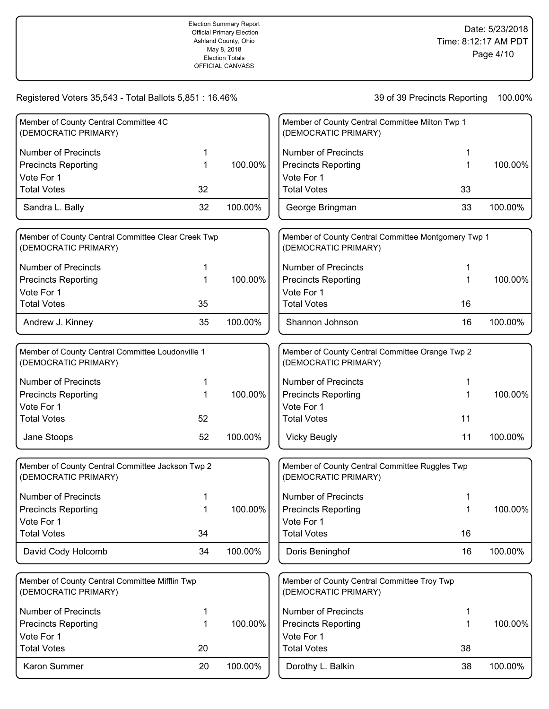| Member of County Central Committee 4C<br>(DEMOCRATIC PRIMARY)              |    |         | Member of County Central Committee Milton Twp 1<br>(DEMOCRATIC PRIMARY)     |    |         |
|----------------------------------------------------------------------------|----|---------|-----------------------------------------------------------------------------|----|---------|
| <b>Number of Precincts</b>                                                 |    |         | <b>Number of Precincts</b>                                                  |    |         |
| <b>Precincts Reporting</b>                                                 | 1  | 100.00% | <b>Precincts Reporting</b>                                                  |    | 100.00% |
| Vote For 1                                                                 |    |         | Vote For 1                                                                  |    |         |
| <b>Total Votes</b>                                                         | 32 |         | <b>Total Votes</b>                                                          | 33 |         |
| Sandra L. Bally                                                            | 32 | 100.00% | George Bringman                                                             | 33 | 100.00% |
| Member of County Central Committee Clear Creek Twp<br>(DEMOCRATIC PRIMARY) |    |         | Member of County Central Committee Montgomery Twp 1<br>(DEMOCRATIC PRIMARY) |    |         |
| <b>Number of Precincts</b>                                                 | 1  |         | <b>Number of Precincts</b>                                                  |    |         |
| <b>Precincts Reporting</b>                                                 | 1  | 100.00% | <b>Precincts Reporting</b>                                                  | 1  | 100.00% |
| Vote For 1                                                                 |    |         | Vote For 1                                                                  |    |         |
| <b>Total Votes</b>                                                         | 35 |         | <b>Total Votes</b>                                                          | 16 |         |
| Andrew J. Kinney                                                           | 35 | 100.00% | Shannon Johnson                                                             | 16 | 100.00% |
| Member of County Central Committee Loudonville 1<br>(DEMOCRATIC PRIMARY)   |    |         | Member of County Central Committee Orange Twp 2<br>(DEMOCRATIC PRIMARY)     |    |         |
| <b>Number of Precincts</b>                                                 | 1  |         | <b>Number of Precincts</b>                                                  |    |         |
| <b>Precincts Reporting</b>                                                 | 1  | 100.00% | <b>Precincts Reporting</b>                                                  |    | 100.00% |
| Vote For 1                                                                 |    |         | Vote For 1                                                                  |    |         |
| <b>Total Votes</b>                                                         | 52 |         | <b>Total Votes</b>                                                          | 11 |         |
| Jane Stoops                                                                | 52 | 100.00% | <b>Vicky Beugly</b>                                                         | 11 | 100.00% |
| Member of County Central Committee Jackson Twp 2<br>(DEMOCRATIC PRIMARY)   |    |         | Member of County Central Committee Ruggles Twp<br>(DEMOCRATIC PRIMARY)      |    |         |
| <b>Number of Precincts</b>                                                 | 1  |         | <b>Number of Precincts</b>                                                  |    |         |
| Precincts Reporting                                                        | 1  | 100.00% | <b>Precincts Reporting</b>                                                  | 1  | 100.00% |
| Vote For 1                                                                 |    |         | Vote For 1                                                                  |    |         |
| <b>Total Votes</b>                                                         | 34 |         | <b>Total Votes</b>                                                          | 16 |         |
| David Cody Holcomb                                                         | 34 | 100.00% | Doris Beninghof                                                             | 16 | 100.00% |
| Member of County Central Committee Mifflin Twp<br>(DEMOCRATIC PRIMARY)     |    |         | Member of County Central Committee Troy Twp<br>(DEMOCRATIC PRIMARY)         |    |         |
| <b>Number of Precincts</b>                                                 | 1  |         | <b>Number of Precincts</b>                                                  | 1  |         |
| <b>Precincts Reporting</b>                                                 | 1  | 100.00% | <b>Precincts Reporting</b>                                                  | 1  | 100.00% |
| Vote For 1                                                                 |    |         | Vote For 1                                                                  |    |         |
| <b>Total Votes</b>                                                         | 20 |         | <b>Total Votes</b>                                                          | 38 |         |
| Karon Summer                                                               | 20 | 100.00% | Dorothy L. Balkin                                                           | 38 | 100.00% |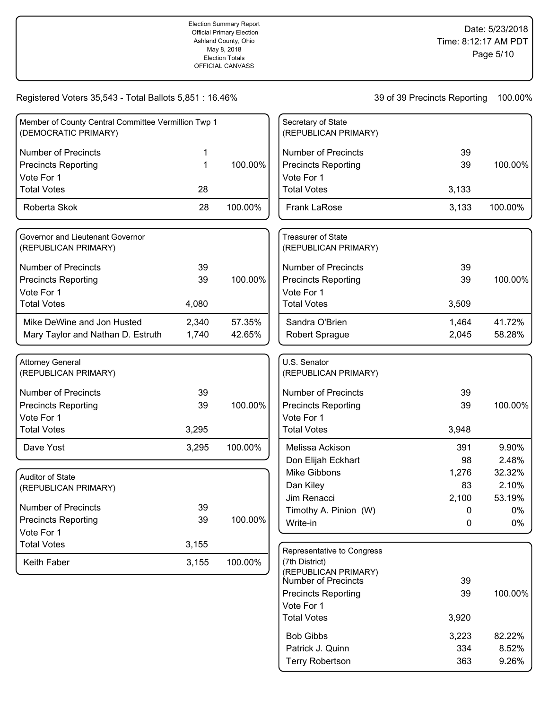| Member of County Central Committee Vermillion Twp 1<br>(DEMOCRATIC PRIMARY) |    |         | Secr<br>(REF |
|-----------------------------------------------------------------------------|----|---------|--------------|
| <b>Number of Precincts</b>                                                  |    |         | Nun          |
| <b>Precincts Reporting</b>                                                  |    | 100.00% | Pred         |
| Vote For 1                                                                  |    |         | Vote         |
| <b>Total Votes</b>                                                          | 28 |         | Tota         |
| Roberta Skok                                                                | 28 | 100.00% | Fra          |
|                                                                             |    |         |              |

| Governor and Lieutenant Governor<br>(REPUBLICAN PRIMARY) |       |         |
|----------------------------------------------------------|-------|---------|
| Number of Precincts                                      | 39    |         |
| <b>Precincts Reporting</b>                               | 39    | 100.00% |
| Vote For 1                                               |       |         |
| <b>Total Votes</b>                                       | 4,080 |         |
| Mike DeWine and Jon Husted                               | 2,340 | 57.35%  |
| Mary Taylor and Nathan D. Estruth                        | 1,740 | 42.65%  |

| <b>Attorney General</b><br>(REPUBLICAN PRIMARY) |       |         |
|-------------------------------------------------|-------|---------|
| Number of Precincts                             | 39    |         |
| <b>Precincts Reporting</b>                      | 39    | 100.00% |
| Vote For 1                                      |       |         |
| <b>Total Votes</b>                              | 3,295 |         |
| Dave Yost                                       | 3,295 | 100.00% |

| <b>Auditor of State</b><br>(REPUBLICAN PRIMARY) |       |         |
|-------------------------------------------------|-------|---------|
| l Number of Precincts                           | 39    |         |
| <b>Precincts Reporting</b>                      | 39    | 100.00% |
| Vote For 1                                      |       |         |
| <b>Total Votes</b>                              | 3,155 |         |
| Keith Faber                                     | 3,155 | 100.00% |

| Secretary of State<br>(REPUBLICAN PRIMARY)        |       |         |
|---------------------------------------------------|-------|---------|
| Number of Precincts                               | 39    |         |
| <b>Precincts Reporting</b>                        | 39    | 100.00% |
| Vote For 1                                        |       |         |
| <b>Total Votes</b>                                | 3,133 |         |
| <b>Frank LaRose</b>                               | 3,133 | 100.00% |
| <b>Treasurer of State</b><br>(REPUBLICAN PRIMARY) |       |         |

| (REPUDLIUAN PRIMART)       |       |         |
|----------------------------|-------|---------|
| Number of Precincts        | 39    |         |
| <b>Precincts Reporting</b> | 39    | 100.00% |
| Vote For 1                 |       |         |
| Total Votes                | 3,509 |         |
| Sandra O'Brien             | 1.464 | 41.72%  |
| Robert Sprague             | 2,045 | 58.28%  |

| U.S. Senator<br>(REPUBLICAN PRIMARY) |       |          |
|--------------------------------------|-------|----------|
| Number of Precincts                  | 39    |          |
| <b>Precincts Reporting</b>           | 39    | 100.00%  |
| Vote For 1                           |       |          |
| <b>Total Votes</b>                   | 3,948 |          |
| Melissa Ackison                      | 391   | $9.90\%$ |
| Don Elijah Eckhart                   | 98    | 2.48%    |
| Mike Gibbons                         | 1,276 | 32.32%   |
| Dan Kiley                            | 83    | 2.10%    |
| Jim Renacci                          | 2,100 | 53.19%   |
| Timothy A. Pinion (W)                | O     | 0%       |
| Write-in                             | O     | $0\%$    |
|                                      |       |          |

| Representative to Congress<br>(7th District)       |       |         |
|----------------------------------------------------|-------|---------|
| (REPUBLICAN PRIMARY)<br><b>Number of Precincts</b> | 39    |         |
| <b>Precincts Reporting</b>                         | 39    | 100.00% |
| Vote For 1                                         |       |         |
| <b>Total Votes</b>                                 | 3,920 |         |
| <b>Bob Gibbs</b>                                   | 3,223 | 82.22%  |
| Patrick J. Quinn                                   | 334   | 8.52%   |
| <b>Terry Robertson</b>                             | 363   | 9.26%   |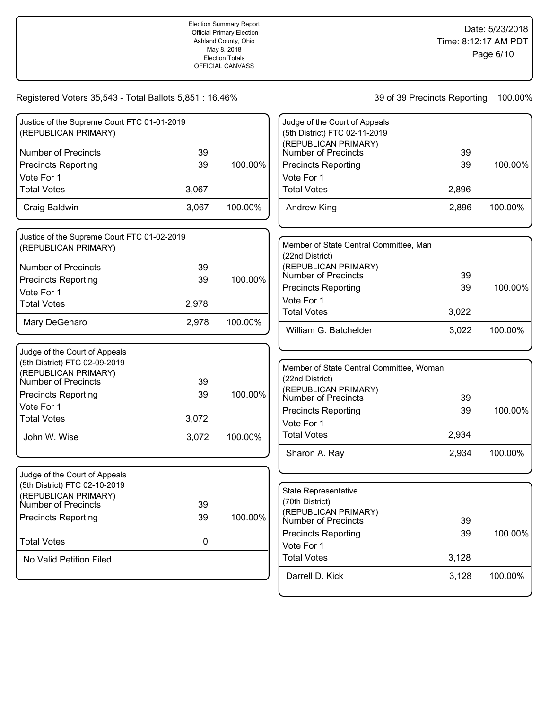| Justice of the Supreme Court FTC 01-01-2019 |           |         | Judge of the Court of Appeals               |       |         |
|---------------------------------------------|-----------|---------|---------------------------------------------|-------|---------|
| (REPUBLICAN PRIMARY)                        |           |         | (5th District) FTC 02-11-2019               |       |         |
| <b>Number of Precincts</b>                  | 39        |         | (REPUBLICAN PRIMARY)<br>Number of Precincts | 39    |         |
| <b>Precincts Reporting</b>                  | 39        | 100.00% | <b>Precincts Reporting</b>                  | 39    | 100.00% |
| Vote For 1                                  |           |         | Vote For 1                                  |       |         |
| <b>Total Votes</b>                          | 3,067     |         | <b>Total Votes</b>                          | 2,896 |         |
| Craig Baldwin                               | 3,067     | 100.00% | <b>Andrew King</b>                          | 2,896 | 100.00% |
| Justice of the Supreme Court FTC 01-02-2019 |           |         |                                             |       |         |
| (REPUBLICAN PRIMARY)                        |           |         | Member of State Central Committee, Man      |       |         |
|                                             |           |         | (22nd District)                             |       |         |
| <b>Number of Precincts</b>                  | 39        |         | (REPUBLICAN PRIMARY)<br>Number of Precincts | 39    |         |
| <b>Precincts Reporting</b>                  | 39        | 100.00% | <b>Precincts Reporting</b>                  | 39    | 100.00% |
| Vote For 1                                  |           |         | Vote For 1                                  |       |         |
| <b>Total Votes</b>                          | 2,978     |         | <b>Total Votes</b>                          | 3,022 |         |
| Mary DeGenaro                               | 2,978     | 100.00% | William G. Batchelder                       | 3,022 | 100.00% |
| Judge of the Court of Appeals               |           |         |                                             |       |         |
| (5th District) FTC 02-09-2019               |           |         |                                             |       |         |
| (REPUBLICAN PRIMARY)                        |           |         | Member of State Central Committee, Woman    |       |         |
| Number of Precincts                         | 39        |         | (22nd District)<br>(REPUBLICAN PRIMARY)     |       |         |
| <b>Precincts Reporting</b>                  | 39        | 100.00% | Number of Precincts                         | 39    |         |
| Vote For 1                                  |           |         | <b>Precincts Reporting</b>                  | 39    | 100.00% |
| <b>Total Votes</b>                          | 3,072     |         | Vote For 1                                  |       |         |
| John W. Wise                                | 3,072     | 100.00% | <b>Total Votes</b>                          | 2,934 |         |
|                                             |           |         | Sharon A. Ray                               | 2,934 | 100.00% |
| Judge of the Court of Appeals               |           |         |                                             |       |         |
| (5th District) FTC 02-10-2019               |           |         | State Representative                        |       |         |
| (REPUBLICAN PRIMARY)                        |           |         | (70th District)                             |       |         |
| <b>Number of Precincts</b>                  | 39        | 100.00% | (REPUBLICAN PRIMARY)                        |       |         |
| <b>Precincts Reporting</b>                  | 39        |         | Number of Precincts                         | 39    |         |
| <b>Total Votes</b>                          | $\pmb{0}$ |         | <b>Precincts Reporting</b>                  | 39    | 100.00% |
|                                             |           |         | Vote For 1                                  |       |         |
| No Valid Petition Filed                     |           |         | <b>Total Votes</b>                          | 3,128 |         |
|                                             |           |         | Darrell D. Kick                             | 3,128 | 100.00% |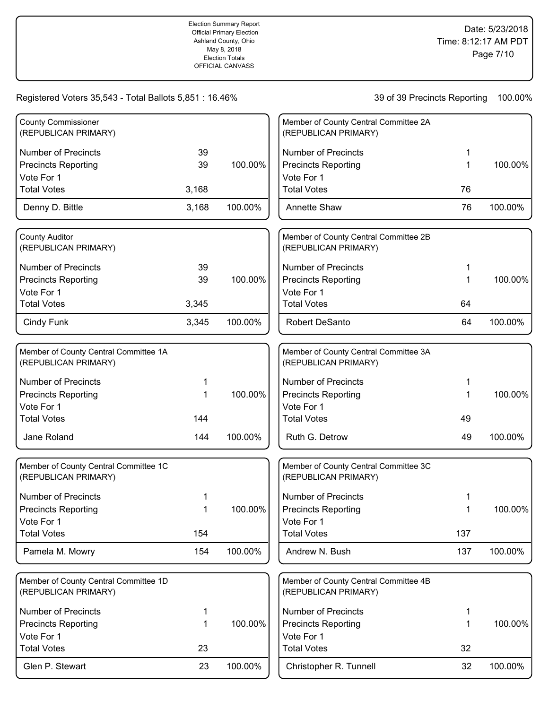| <b>County Commissioner</b>                                    |       |         | Member of County Central Committee 2A                         |     |         |
|---------------------------------------------------------------|-------|---------|---------------------------------------------------------------|-----|---------|
| (REPUBLICAN PRIMARY)                                          |       |         | (REPUBLICAN PRIMARY)                                          |     |         |
| <b>Number of Precincts</b>                                    | 39    |         | <b>Number of Precincts</b>                                    |     |         |
| <b>Precincts Reporting</b>                                    | 39    | 100.00% | <b>Precincts Reporting</b>                                    | 1   | 100.00% |
| Vote For 1                                                    |       |         | Vote For 1                                                    |     |         |
| <b>Total Votes</b>                                            | 3,168 |         | <b>Total Votes</b>                                            | 76  |         |
| Denny D. Bittle                                               | 3,168 | 100.00% | <b>Annette Shaw</b>                                           | 76  | 100.00% |
| <b>County Auditor</b><br>(REPUBLICAN PRIMARY)                 |       |         | Member of County Central Committee 2B<br>(REPUBLICAN PRIMARY) |     |         |
| <b>Number of Precincts</b>                                    | 39    |         | <b>Number of Precincts</b>                                    | 1   |         |
| <b>Precincts Reporting</b>                                    | 39    | 100.00% | <b>Precincts Reporting</b>                                    | 1   | 100.00% |
| Vote For 1                                                    |       |         | Vote For 1                                                    |     |         |
| <b>Total Votes</b>                                            | 3,345 |         | <b>Total Votes</b>                                            | 64  |         |
| Cindy Funk                                                    | 3,345 | 100.00% | Robert DeSanto                                                | 64  | 100.00% |
| Member of County Central Committee 1A<br>(REPUBLICAN PRIMARY) |       |         | Member of County Central Committee 3A<br>(REPUBLICAN PRIMARY) |     |         |
| <b>Number of Precincts</b>                                    |       |         | <b>Number of Precincts</b>                                    |     |         |
| <b>Precincts Reporting</b>                                    | 1     | 100.00% | <b>Precincts Reporting</b>                                    |     | 100.00% |
| Vote For 1                                                    |       |         | Vote For 1                                                    |     |         |
| <b>Total Votes</b>                                            | 144   |         | <b>Total Votes</b>                                            | 49  |         |
| Jane Roland                                                   | 144   | 100.00% | Ruth G. Detrow                                                | 49  | 100.00% |
| Member of County Central Committee 1C<br>(REPUBLICAN PRIMARY) |       |         | Member of County Central Committee 3C<br>(REPUBLICAN PRIMARY) |     |         |
| <b>Number of Precincts</b>                                    |       |         | <b>Number of Precincts</b>                                    |     |         |
| <b>Precincts Reporting</b>                                    | 1     | 100.00% | <b>Precincts Reporting</b>                                    |     | 100.00% |
| Vote For 1                                                    |       |         | Vote For 1                                                    |     |         |
| <b>Total Votes</b>                                            | 154   |         | <b>Total Votes</b>                                            | 137 |         |
| Pamela M. Mowry                                               | 154   | 100.00% | Andrew N. Bush                                                | 137 | 100.00% |
| Member of County Central Committee 1D<br>(REPUBLICAN PRIMARY) |       |         | Member of County Central Committee 4B<br>(REPUBLICAN PRIMARY) |     |         |
| <b>Number of Precincts</b>                                    | 1     |         | <b>Number of Precincts</b>                                    | 1   |         |
| <b>Precincts Reporting</b>                                    | 1     | 100.00% | <b>Precincts Reporting</b>                                    | 1   | 100.00% |
| Vote For 1                                                    |       |         | Vote For 1                                                    |     |         |
| <b>Total Votes</b>                                            | 23    |         | <b>Total Votes</b>                                            | 32  |         |
| Glen P. Stewart                                               | 23    | 100.00% | Christopher R. Tunnell                                        | 32  | 100.00% |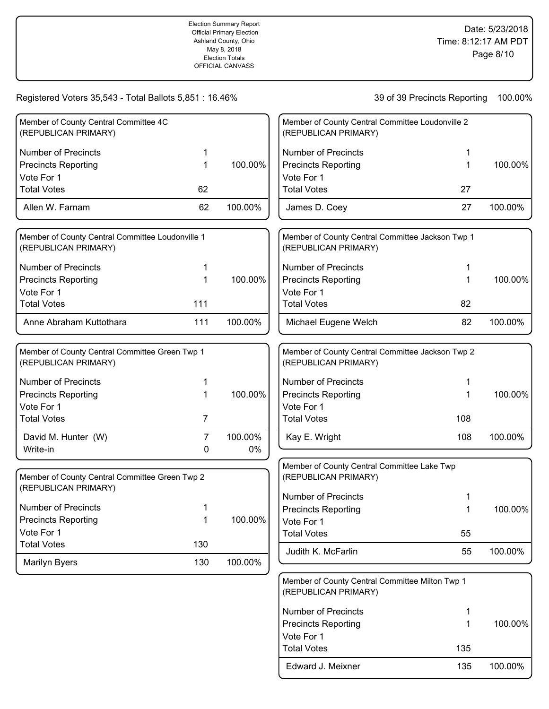| Member of County Central Committee 4C<br>(REPUBLICAN PRIMARY)            |     |         | Member of County Central Committee Loudonville 2<br>(REPUBLICAN PRIMARY) |     |         |
|--------------------------------------------------------------------------|-----|---------|--------------------------------------------------------------------------|-----|---------|
|                                                                          |     |         |                                                                          |     |         |
| <b>Number of Precincts</b>                                               | 1   |         | <b>Number of Precincts</b>                                               | 1   |         |
| <b>Precincts Reporting</b>                                               | 1   | 100.00% | <b>Precincts Reporting</b>                                               | 1   | 100.00% |
| Vote For 1                                                               |     |         | Vote For 1                                                               |     |         |
| <b>Total Votes</b>                                                       | 62  |         | <b>Total Votes</b>                                                       | 27  |         |
| Allen W. Farnam                                                          | 62  | 100.00% | James D. Coey                                                            | 27  | 100.00% |
| Member of County Central Committee Loudonville 1<br>(REPUBLICAN PRIMARY) |     |         | Member of County Central Committee Jackson Twp 1<br>(REPUBLICAN PRIMARY) |     |         |
| <b>Number of Precincts</b>                                               | 1   |         | <b>Number of Precincts</b>                                               | 1   |         |
| <b>Precincts Reporting</b>                                               | 1   | 100.00% | <b>Precincts Reporting</b>                                               | 1   | 100.00% |
| Vote For 1                                                               |     |         | Vote For 1                                                               |     |         |
| <b>Total Votes</b>                                                       | 111 |         | <b>Total Votes</b>                                                       | 82  |         |
| Anne Abraham Kuttothara                                                  | 111 | 100.00% | Michael Eugene Welch                                                     | 82  | 100.00% |
| Member of County Central Committee Green Twp 1<br>(REPUBLICAN PRIMARY)   |     |         | Member of County Central Committee Jackson Twp 2<br>(REPUBLICAN PRIMARY) |     |         |
| <b>Number of Precincts</b>                                               |     |         | <b>Number of Precincts</b>                                               | 1   |         |
| <b>Precincts Reporting</b>                                               | 1   | 100.00% | <b>Precincts Reporting</b>                                               | 1   | 100.00% |
| Vote For 1                                                               |     |         | Vote For 1                                                               |     |         |
| <b>Total Votes</b>                                                       | 7   |         | <b>Total Votes</b>                                                       | 108 |         |
| David M. Hunter (W)                                                      | 7   | 100.00% | Kay E. Wright                                                            | 108 | 100.00% |
| Write-in                                                                 | 0   | $0\%$   |                                                                          |     |         |
|                                                                          |     |         | Member of County Central Committee Lake Twp                              |     |         |
| Member of County Central Committee Green Twp 2<br>(REPUBLICAN PRIMARY)   |     |         | (REPUBLICAN PRIMARY)                                                     |     |         |
|                                                                          |     |         | <b>Number of Precincts</b>                                               |     |         |
| <b>Number of Precincts</b>                                               |     |         | <b>Precincts Reporting</b>                                               |     | 100.00% |
| <b>Precincts Reporting</b>                                               | 1   | 100.00% | Vote For 1                                                               |     |         |
| Vote For 1<br><b>Total Votes</b>                                         | 130 |         | <b>Total Votes</b>                                                       | 55  |         |
|                                                                          |     |         | Judith K. McFarlin                                                       | 55  | 100.00% |
| Marilyn Byers                                                            | 130 | 100.00% |                                                                          |     |         |
|                                                                          |     |         | Member of County Central Committee Milton Twp 1                          |     |         |

| (REPUBLICAN PRIMARY)       |     |         |
|----------------------------|-----|---------|
| Number of Precincts        |     |         |
| <b>Precincts Reporting</b> |     | 100.00% |
| Vote For 1                 |     |         |
| <b>Total Votes</b>         | 135 |         |
| Edward J. Meixner          | 135 | 100.00% |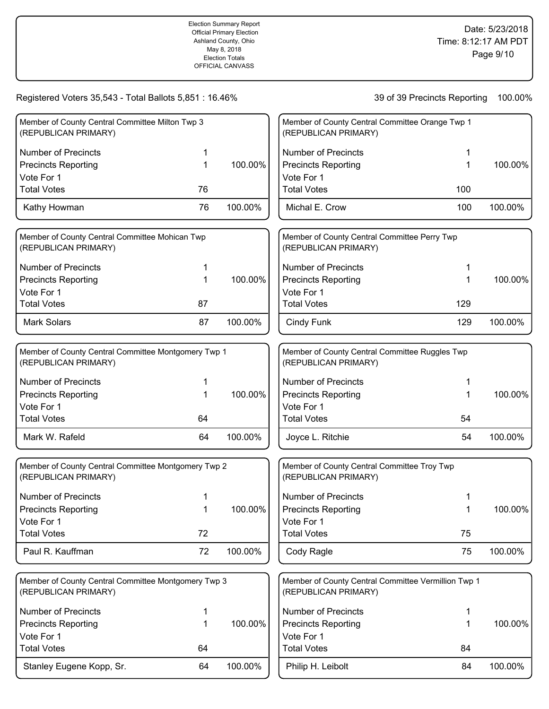Stanley Eugene Kopp, Sr. 64 100.00%

Total Votes 64

## 39 of 39 Precincts Reporting 100.00%

Philip H. Leibolt 84 100.00%

Total Votes 84

| Member of County Central Committee Milton Twp 3<br>(REPUBLICAN PRIMARY)     |    |         | Member of County Central Committee Orange Twp 1<br>(REPUBLICAN PRIMARY)     |         |
|-----------------------------------------------------------------------------|----|---------|-----------------------------------------------------------------------------|---------|
| <b>Number of Precincts</b>                                                  | 1  |         | <b>Number of Precincts</b>                                                  |         |
| <b>Precincts Reporting</b>                                                  | 1  | 100.00% | <b>Precincts Reporting</b><br>1                                             | 100.00% |
| Vote For 1                                                                  |    |         | Vote For 1                                                                  |         |
| <b>Total Votes</b>                                                          | 76 |         | <b>Total Votes</b><br>100                                                   |         |
| Kathy Howman                                                                | 76 | 100.00% | Michal E. Crow<br>100                                                       | 100.00% |
| Member of County Central Committee Mohican Twp<br>(REPUBLICAN PRIMARY)      |    |         | Member of County Central Committee Perry Twp<br>(REPUBLICAN PRIMARY)        |         |
| <b>Number of Precincts</b>                                                  | 1  |         | <b>Number of Precincts</b>                                                  |         |
| <b>Precincts Reporting</b>                                                  | 1  | 100.00% | <b>Precincts Reporting</b><br>1                                             | 100.00% |
| Vote For 1                                                                  |    |         | Vote For 1                                                                  |         |
| <b>Total Votes</b>                                                          | 87 |         | <b>Total Votes</b><br>129                                                   |         |
| <b>Mark Solars</b>                                                          | 87 | 100.00% | Cindy Funk<br>129                                                           | 100.00% |
| Member of County Central Committee Montgomery Twp 1<br>(REPUBLICAN PRIMARY) |    |         | Member of County Central Committee Ruggles Twp<br>(REPUBLICAN PRIMARY)      |         |
| <b>Number of Precincts</b>                                                  | 1  |         | <b>Number of Precincts</b><br>1                                             |         |
| <b>Precincts Reporting</b>                                                  |    | 100.00% | <b>Precincts Reporting</b><br>1                                             | 100.00% |
| Vote For 1                                                                  |    |         | Vote For 1                                                                  |         |
| <b>Total Votes</b>                                                          | 64 |         | <b>Total Votes</b><br>54                                                    |         |
| Mark W. Rafeld                                                              | 64 | 100.00% | 54<br>Joyce L. Ritchie                                                      | 100.00% |
| Member of County Central Committee Montgomery Twp 2<br>(REPUBLICAN PRIMARY) |    |         | Member of County Central Committee Troy Twp<br>(REPUBLICAN PRIMARY)         |         |
| <b>Number of Precincts</b>                                                  |    |         | <b>Number of Precincts</b>                                                  |         |
| <b>Precincts Reporting</b>                                                  |    | 100.00% | <b>Precincts Reporting</b>                                                  | 100.00% |
| Vote For 1                                                                  |    |         | Vote For 1                                                                  |         |
| <b>Total Votes</b>                                                          | 72 |         | <b>Total Votes</b><br>75                                                    |         |
| Paul R. Kauffman                                                            | 72 | 100.00% | Cody Ragle<br>75                                                            | 100.00% |
| Member of County Central Committee Montgomery Twp 3<br>(REPUBLICAN PRIMARY) |    |         | Member of County Central Committee Vermillion Twp 1<br>(REPUBLICAN PRIMARY) |         |
| <b>Number of Precincts</b>                                                  | 1  |         | <b>Number of Precincts</b><br>1                                             |         |
| <b>Precincts Reporting</b>                                                  | 1  | 100.00% | <b>Precincts Reporting</b><br>1                                             | 100.00% |
| Vote For 1                                                                  |    |         | Vote For 1                                                                  |         |